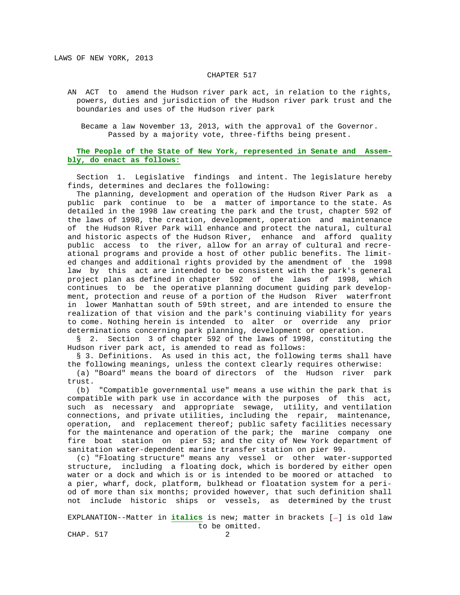## CHAPTER 517

 AN ACT to amend the Hudson river park act, in relation to the rights, powers, duties and jurisdiction of the Hudson river park trust and the boundaries and uses of the Hudson river park

 Became a law November 13, 2013, with the approval of the Governor. Passed by a majority vote, three-fifths being present.

## **The People of the State of New York, represented in Senate and Assem bly, do enact as follows:**

 Section 1. Legislative findings and intent. The legislature hereby finds, determines and declares the following:

 The planning, development and operation of the Hudson River Park as a public park continue to be a matter of importance to the state. As detailed in the 1998 law creating the park and the trust, chapter 592 of the laws of 1998, the creation, development, operation and maintenance of the Hudson River Park will enhance and protect the natural, cultural and historic aspects of the Hudson River, enhance and afford quality public access to the river, allow for an array of cultural and recre ational programs and provide a host of other public benefits. The limit ed changes and additional rights provided by the amendment of the 1998 law by this act are intended to be consistent with the park's general project plan as defined in chapter 592 of the laws of 1998, which continues to be the operative planning document guiding park develop ment, protection and reuse of a portion of the Hudson River waterfront in lower Manhattan south of 59th street, and are intended to ensure the realization of that vision and the park's continuing viability for years to come. Nothing herein is intended to alter or override any prior determinations concerning park planning, development or operation.

 § 2. Section 3 of chapter 592 of the laws of 1998, constituting the Hudson river park act, is amended to read as follows:

§ 3. Definitions. As used in this act, the following terms shall have the following meanings, unless the context clearly requires otherwise:

 (a) "Board" means the board of directors of the Hudson river park trust.

 (b) "Compatible governmental use" means a use within the park that is compatible with park use in accordance with the purposes of this act, such as necessary and appropriate sewage, utility, and ventilation connections, and private utilities, including the repair, maintenance, operation, and replacement thereof; public safety facilities necessary for the maintenance and operation of the park; the marine company one fire boat station on pier 53; and the city of New York department of sanitation water-dependent marine transfer station on pier 99.

 (c) "Floating structure" means any vessel or other water-supported structure, including a floating dock, which is bordered by either open water or a dock and which is or is intended to be moored or attached to a pier, wharf, dock, platform, bulkhead or floatation system for a peri od of more than six months; provided however, that such definition shall not include historic ships or vessels, as determined by the trust

EXPLANATION--Matter in *italics* is new; matter in brackets [-] is old law to be omitted.

CHAP. 517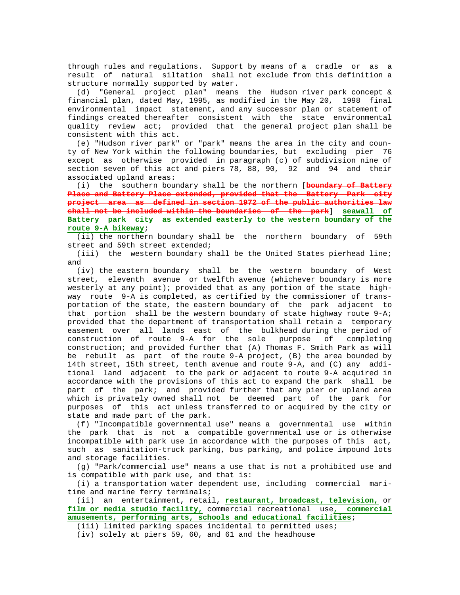through rules and regulations. Support by means of a cradle or as a result of natural siltation shall not exclude from this definition a structure normally supported by water.

 (d) "General project plan" means the Hudson river park concept & financial plan, dated May, 1995, as modified in the May 20, 1998 final environmental impact statement, and any successor plan or statement of findings created thereafter consistent with the state environmental quality review act; provided that the general project plan shall be consistent with this act.

 (e) "Hudson river park" or "park" means the area in the city and coun ty of New York within the following boundaries, but excluding pier 76 except as otherwise provided in paragraph (c) of subdivision nine of section seven of this act and piers 78, 88, 90, 92 and 94 and their associated upland areas:

 (i) the southern boundary shall be the northern [**boundary of Battery Place and Battery Place extended, provided that the Battery Park city project area as defined in section 1972 of the public authorities law shall not be included within the boundaries of the park**] **seawall of Battery park city as extended easterly to the western boundary of the route 9-A bikeway**;

 (ii) the northern boundary shall be the northern boundary of 59th street and 59th street extended;

(iii) the western boundary shall be the United States pierhead line; and

 (iv) the eastern boundary shall be the western boundary of West street, eleventh avenue or twelfth avenue (whichever boundary is more westerly at any point); provided that as any portion of the state high way route 9-A is completed, as certified by the commissioner of trans portation of the state, the eastern boundary of the park adjacent to that portion shall be the western boundary of state highway route 9-A; provided that the department of transportation shall retain a temporary easement over all lands east of the bulkhead-during the period of<br>construction of route 9-A for the sole purpose of completing construction of route 9-A for the sole purpose construction; and provided further that (A) Thomas F. Smith Park as will be rebuilt as part of the route 9-A project, (B) the area bounded by 14th street, 15th street, tenth avenue and route 9-A, and (C) any addi tional land adjacent to the park or adjacent to route 9-A acquired in accordance with the provisions of this act to expand the park shall be part of the park; and provided further that any pier or upland area which is privately owned shall not be deemed part of the park for purposes of this act unless transferred to or acquired by the city or state and made part of the park.

 (f) "Incompatible governmental use" means a governmental use within the park that is not a compatible governmental use or is otherwise incompatible with park use in accordance with the purposes of this act, such as sanitation-truck parking, bus parking, and police impound lots and storage facilities.

 (g) "Park/commercial use" means a use that is not a prohibited use and is compatible with park use, and that is:

 (i) a transportation water dependent use, including commercial mari time and marine ferry terminals;

 (ii) an entertainment, retail, **restaurant, broadcast, television,** or **film or media studio facility,** commercial recreational use**, commercial amusements, performing arts, schools and educational facilities**;

(iii) limited parking spaces incidental to permitted uses;

(iv) solely at piers 59, 60, and 61 and the headhouse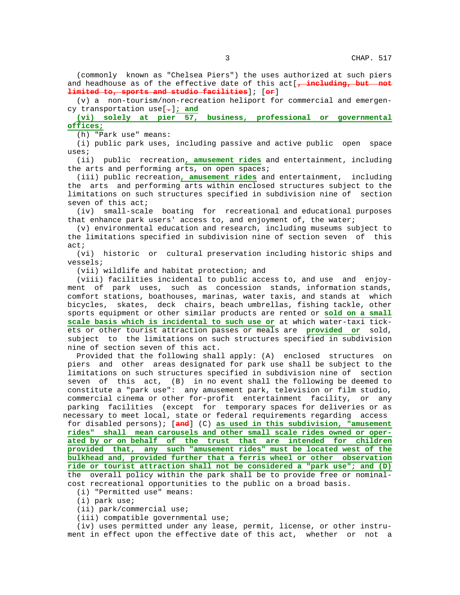(commonly known as "Chelsea Piers") the uses authorized at such piers and headhouse as of the effective date of this act[**, including, but not limited to, sports and studio facilities**]; [**or**]

 (v) a non-tourism/non-recreation heliport for commercial and emergen cy transportation use[**.**]**; and**

 **(vi) solely at pier 57, business, professional or governmental offices;**

(h) "Park use" means:

 (i) public park uses, including passive and active public open space uses;

 (ii) public recreation**, amusement rides** and entertainment, including the arts and performing arts, on open spaces;

 (iii) public recreation**, amusement rides** and entertainment, including the arts and performing arts within enclosed structures subject to the limitations on such structures specified in subdivision nine of section seven of this act;

 (iv) small-scale boating for recreational and educational purposes that enhance park users' access to, and enjoyment of, the water;

 (v) environmental education and research, including museums subject to the limitations specified in subdivision nine of section seven of this act;

 (vi) historic or cultural preservation including historic ships and vessels;

(vii) wildlife and habitat protection; and

 (viii) facilities incidental to public access to, and use and enjoy ment of park uses, such as concession stands, information stands, comfort stations, boathouses, marinas, water taxis, and stands at which bicycles, skates, deck chairs, beach umbrellas, fishing tackle, other sports equipment or other similar products are rented or **sold on a small scale basis which is incidental to such use or** at which water-taxi tick ets or other tourist attraction passes or meals are **provided or** sold, subject to the limitations on such structures specified in subdivision nine of section seven of this act.

 Provided that the following shall apply: (A) enclosed structures on piers and other areas designated for park use shall be subject to the limitations on such structures specified in subdivision nine of section seven of this act, (B) in no event shall the following be deemed to constitute a "park use": any amusement park, television or film studio, commercial cinema or other for-profit entertainment facility, or any parking facilities (except for temporary spaces for deliveries or as necessary to meet local, state or federal requirements regarding access for disabled persons); [**and**] (C) **as used in this subdivision, "amusement rides" shall mean carousels and other small scale rides owned or oper ated by or on behalf of the trust that are intended for children provided that, any such "amusement rides" must be located west of the bulkhead and, provided further that a ferris wheel or other observation ride or tourist attraction shall not be considered a "park use"; and (D)** the overall policy within the park shall be to provide free or nominal cost recreational opportunities to the public on a broad basis.

(i) "Permitted use" means:

(i) park use;

(ii) park/commercial use;

(iii) compatible governmental use;

 (iv) uses permitted under any lease, permit, license, or other instru ment in effect upon the effective date of this act, whether or not a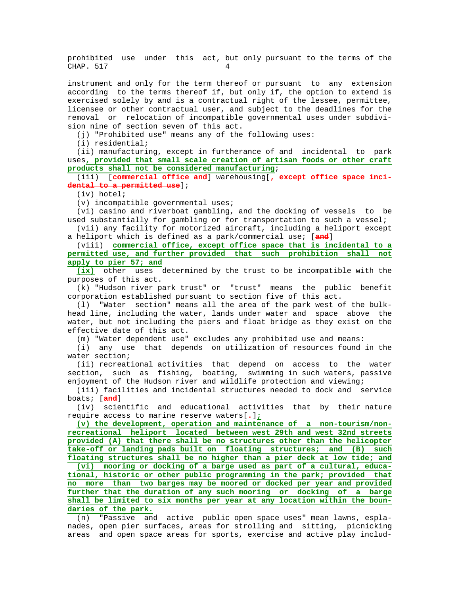prohibited use under this act, but only pursuant to the terms of the CHAP. 517

 instrument and only for the term thereof or pursuant to any extension according to the terms thereof if, but only if, the option to extend is exercised solely by and is a contractual right of the lessee, permittee, licensee or other contractual user, and subject to the deadlines for the removal or relocation of incompatible governmental uses under subdivi sion nine of section seven of this act.

(j) "Prohibited use" means any of the following uses:

(i) residential;

 (ii) manufacturing, except in furtherance of and incidental to park uses**, provided that small scale creation of artisan foods or other craft products shall not be considered manufacturing**;

 (iii) [**commercial office and**] warehousing[**, except office space inci dental to a permitted use**];

(iv) hotel;

(v) incompatible governmental uses;

 (vi) casino and riverboat gambling, and the docking of vessels to be used substantially for gambling or for transportation to such a vessel; (vii) any facility for motorized aircraft, including a heliport except

a heliport which is defined as a park/commercial use; [**and**]

 (viii) **commercial office, except office space that is incidental to a permitted use, and further provided that such prohibition shall not apply to pier 57; and**

 **(ix)** other uses determined by the trust to be incompatible with the purposes of this act.

 (k) "Hudson river park trust" or "trust" means the public benefit corporation established pursuant to section five of this act.

 (l) "Water section" means all the area of the park west of the bulk head line, including the water, lands under water and space above the water, but not including the piers and float bridge as they exist on the effective date of this act.

(m) "Water dependent use" excludes any prohibited use and means:

 (i) any use that depends on utilization of resources found in the water section;

 (ii) recreational activities that depend on access to the water section, such as fishing, boating, swimming in such waters, passive enjoyment of the Hudson river and wildlife protection and viewing;

 (iii) facilities and incidental structures needed to dock and service boats; [**and**]

 (iv) scientific and educational activities that by their nature require access to marine reserve waters[**.**]**;**

 **(v) the development, operation and maintenance of a non-tourism/non recreational heliport located between west 29th and west 32nd streets provided (A) that there shall be no structures other than the helicopter take-off or landing pads built on floating structures; and (B) such**

 **floating structures shall be no higher than a pier deck at low tide; and (vi) mooring or docking of a barge used as part of a cultural, educa tional, historic or other public programming in the park; provided that no more than two barges may be moored or docked per year and provided further that the duration of any such mooring or docking of a barge shall be limited to six months per year at any location within the boun daries of the park.**

 (n) "Passive and active public open space uses" mean lawns, espla nades, open pier surfaces, areas for strolling and sitting, picnicking areas and open space areas for sports, exercise and active play includ-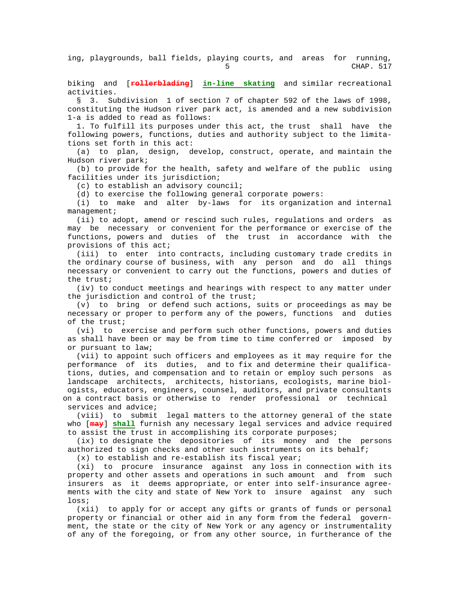ing, playgrounds, ball fields, playing courts, and areas for running,<br>CHAP. 517  $5$  CHAP. 517

 biking and [**rollerblading**] **in-line skating** and similar recreational activities.

 § 3. Subdivision 1 of section 7 of chapter 592 of the laws of 1998, constituting the Hudson river park act, is amended and a new subdivision 1-a is added to read as follows:

 1. To fulfill its purposes under this act, the trust shall have the following powers, functions, duties and authority subject to the limita tions set forth in this act:

 (a) to plan, design, develop, construct, operate, and maintain the Hudson river park;

 (b) to provide for the health, safety and welfare of the public using facilities under its jurisdiction;

(c) to establish an advisory council;

(d) to exercise the following general corporate powers:

 (i) to make and alter by-laws for its organization and internal management;

 (ii) to adopt, amend or rescind such rules, regulations and orders as may be necessary or convenient for the performance or exercise of the functions, powers and duties of the trust in accordance with the provisions of this act;

 (iii) to enter into contracts, including customary trade credits in the ordinary course of business, with any person and do all things necessary or convenient to carry out the functions, powers and duties of the trust;

 (iv) to conduct meetings and hearings with respect to any matter under the jurisdiction and control of the trust;

 (v) to bring or defend such actions, suits or proceedings as may be necessary or proper to perform any of the powers, functions and duties of the trust;

 (vi) to exercise and perform such other functions, powers and duties as shall have been or may be from time to time conferred or imposed by or pursuant to law;

 (vii) to appoint such officers and employees as it may require for the performance of its duties, and to fix and determine their qualifica tions, duties, and compensation and to retain or employ such persons as landscape architects, architects, historians, ecologists, marine biol ogists, educators, engineers, counsel, auditors, and private consultants on a contract basis or otherwise to render professional or technical services and advice;

 (viii) to submit legal matters to the attorney general of the state who [**may**] **shall** furnish any necessary legal services and advice required to assist the trust in accomplishing its corporate purposes;

 (ix) to designate the depositories of its money and the persons authorized to sign checks and other such instruments on its behalf;

(x) to establish and re-establish its fiscal year;

 (xi) to procure insurance against any loss in connection with its property and other assets and operations in such amount and from such insurers as it deems appropriate, or enter into self-insurance agree ments with the city and state of New York to insure against any such loss;

 (xii) to apply for or accept any gifts or grants of funds or personal property or financial or other aid in any form from the federal govern ment, the state or the city of New York or any agency or instrumentality of any of the foregoing, or from any other source, in furtherance of the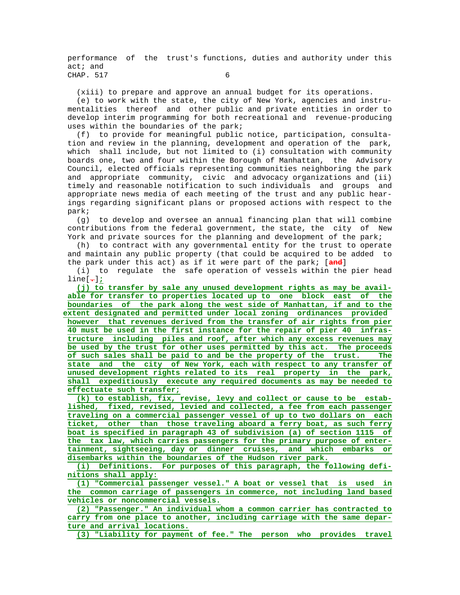performance of the trust's functions, duties and authority under this act; and CHAP. 517 6

(xiii) to prepare and approve an annual budget for its operations.

 (e) to work with the state, the city of New York, agencies and instru mentalities thereof and other public and private entities in order to develop interim programming for both recreational and revenue-producing uses within the boundaries of the park;

 (f) to provide for meaningful public notice, participation, consulta tion and review in the planning, development and operation of the park, which shall include, but not limited to (i) consultation with community boards one, two and four within the Borough of Manhattan, the Advisory Council, elected officials representing communities neighboring the park and appropriate community, civic and advocacy organizations and (ii) timely and reasonable notification to such individuals and groups and appropriate news media of each meeting of the trust and any public hear ings regarding significant plans or proposed actions with respect to the park;

 (g) to develop and oversee an annual financing plan that will combine contributions from the federal government, the state, the city of New York and private sources for the planning and development of the park;

 (h) to contract with any governmental entity for the trust to operate and maintain any public property (that could be acquired to be added to the park under this act) as if it were part of the park; [**and**]

 (i) to regulate the safe operation of vessels within the pier head line[**.**]**;**

 **(j) to transfer by sale any unused development rights as may be avail able for transfer to properties located up to one block east of the boundaries of the park along the west side of Manhattan, if and to the extent designated and permitted under local zoning ordinances provided however that revenues derived from the transfer of air rights from pier 40 must be used in the first instance for the repair of pier 40 infras tructure including piles and roof, after which any excess revenues may be used by the trust for other uses permitted by this act. The proceeds of such sales shall be paid to and be the property of the trust. The state and the city of New York, each with respect to any transfer of unused development rights related to its real property in the park, shall expeditiously execute any required documents as may be needed to effectuate such transfer;**

 **(k) to establish, fix, revise, levy and collect or cause to be estab lished, fixed, revised, levied and collected, a fee from each passenger traveling on a commercial passenger vessel of up to two dollars on each ticket, other than those traveling aboard a ferry boat, as such ferry boat is specified in paragraph 43 of subdivision (a) of section 1115 of the tax law, which carries passengers for the primary purpose of enter tainment, sightseeing, day or dinner cruises, and which embarks or disembarks within the boundaries of the Hudson river park.**

 **(i) Definitions. For purposes of this paragraph, the following defi nitions shall apply:**

 **(1) "Commercial passenger vessel." A boat or vessel that is used in the common carriage of passengers in commerce, not including land based vehicles or noncommercial vessels.**

 **(2) "Passenger." An individual whom a common carrier has contracted to carry from one place to another, including carriage with the same depar ture and arrival locations.**

**(3) "Liability for payment of fee." The person who provides travel**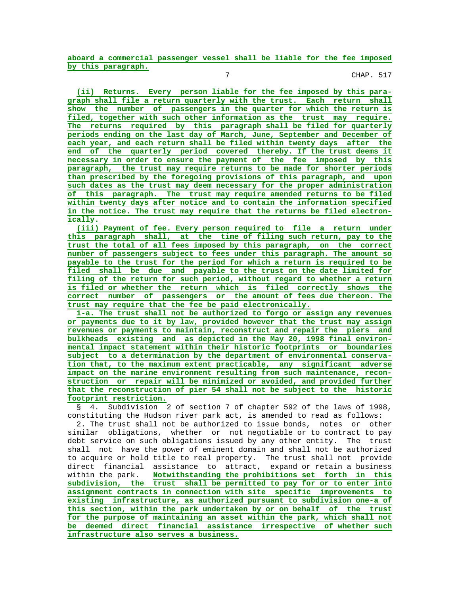**aboard a commercial passenger vessel shall be liable for the fee imposed by this paragraph.**

7 CHAP. 517

 **(ii) Returns. Every person liable for the fee imposed by this para graph shall file a return quarterly with the trust. Each return shall show the number of passengers in the quarter for which the return is filed, together with such other information as the trust may require. The returns required by this paragraph shall be filed for quarterly periods ending on the last day of March, June, September and December of each year, and each return shall be filed within twenty days after the end of the quarterly period covered thereby. If the trust deems it necessary in order to ensure the payment of the fee imposed by this paragraph, the trust may require returns to be made for shorter periods than prescribed by the foregoing provisions of this paragraph, and upon such dates as the trust may deem necessary for the proper administration of this paragraph. The trust may require amended returns to be filed within twenty days after notice and to contain the information specified in the notice. The trust may require that the returns be filed electron ically.**

 **(iii) Payment of fee. Every person required to file a return under this paragraph shall, at the time of filing such return, pay to the trust the total of all fees imposed by this paragraph, on the correct number of passengers subject to fees under this paragraph. The amount so payable to the trust for the period for which a return is required to be filed shall be due and payable to the trust on the date limited for filing of the return for such period, without regard to whether a return is filed or whether the return which is filed correctly shows the correct number of passengers or the amount of fees due thereon. The trust may require that the fee be paid electronically.**

 **1-a. The trust shall not be authorized to forgo or assign any revenues or payments due to it by law, provided however that the trust may assign revenues or payments to maintain, reconstruct and repair the piers and bulkheads existing and as depicted in the May 20, 1998 final environ mental impact statement within their historic footprints or boundaries subject to a determination by the department of environmental conserva tion that, to the maximum extent practicable, any significant adverse impact on the marine environment resulting from such maintenance, recon struction or repair will be minimized or avoided, and provided further that the reconstruction of pier 54 shall not be subject to the historic footprint restriction.**

 § 4. Subdivision 2 of section 7 of chapter 592 of the laws of 1998, constituting the Hudson river park act, is amended to read as follows:

 2. The trust shall not be authorized to issue bonds, notes or other similar obligations, whether or not negotiable or to contract to pay debt service on such obligations issued by any other entity. The trust shall not have the power of eminent domain and shall not be authorized to acquire or hold title to real property. The trust shall not provide direct financial assistance to attract, expand or retain a business within the park. **Notwithstanding the prohibitions set forth in this subdivision, the trust shall be permitted to pay for or to enter into assignment contracts in connection with site specific improvements to existing infrastructure, as authorized pursuant to subdivision one-a of this section, within the park undertaken by or on behalf of the trust for the purpose of maintaining an asset within the park, which shall not be deemed direct financial assistance irrespective of whether such infrastructure also serves a business.**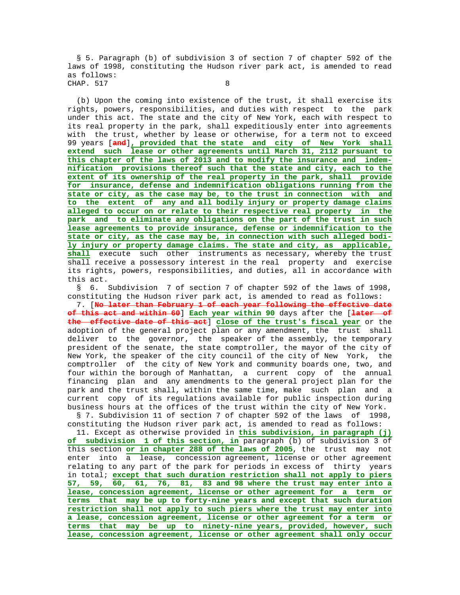§ 5. Paragraph (b) of subdivision 3 of section 7 of chapter 592 of the laws of 1998, constituting the Hudson river park act, is amended to read as follows: CHAP. 517 8

 (b) Upon the coming into existence of the trust, it shall exercise its rights, powers, responsibilities, and duties with respect to the park under this act. The state and the city of New York, each with respect to its real property in the park, shall expeditiously enter into agreements with the trust, whether by lease or otherwise, for a term not to exceed 99 years [**and**]**, provided that the state and city of New York shall extend such lease or other agreements until March 31, 2112 pursuant to this chapter of the laws of 2013 and to modify the insurance and indem nification provisions thereof such that the state and city, each to the extent of its ownership of the real property in the park, shall provide for insurance, defense and indemnification obligations running from the state or city, as the case may be, to the trust in connection with and to the extent of any and all bodily injury or property damage claims alleged to occur on or relate to their respective real property in the park and to eliminate any obligations on the part of the trust in such lease agreements to provide insurance, defense or indemnification to the state or city, as the case may be, in connection with such alleged bodi ly injury or property damage claims. The state and city, as applicable, shall** execute such other instruments as necessary, whereby the trust shall receive a possessory interest in the real property and exercise its rights, powers, responsibilities, and duties, all in accordance with this act.

 § 6. Subdivision 7 of section 7 of chapter 592 of the laws of 1998, constituting the Hudson river park act, is amended to read as follows:

 7. [**No later than February 1 of each year following the effective date of this act and within 60**] **Each year within 90** days after the [**later of the effective date of this act**] **close of the trust's fiscal year** or the adoption of the general project plan or any amendment, the trust shall deliver to the governor, the speaker of the assembly, the temporary president of the senate, the state comptroller, the mayor of the city of New York, the speaker of the city council of the city of New York, the comptroller of the city of New York and community boards one, two, and four within the borough of Manhattan, a current copy of the annual financing plan and any amendments to the general project plan for the park and the trust shall, within the same time, make such plan and a current copy of its regulations available for public inspection during business hours at the offices of the trust within the city of New York.

 § 7. Subdivision 11 of section 7 of chapter 592 of the laws of 1998, constituting the Hudson river park act, is amended to read as follows:

 11. Except as otherwise provided in **this subdivision, in paragraph (j) of subdivision 1 of this section, in** paragraph (b) of subdivision 3 of this section **or in chapter 288 of the laws of 2005**, the trust may not enter into a lease, concession agreement, license or other agreement relating to any part of the park for periods in excess of thirty years in total; **except that such duration restriction shall not apply to piers 57, 59, 60, 61, 76, 81, 83 and 98 where the trust may enter into a lease, concession agreement, license or other agreement for a term or terms that may be up to forty-nine years and except that such duration restriction shall not apply to such piers where the trust may enter into a lease, concession agreement, license or other agreement for a term or terms that may be up to ninety-nine years, provided, however, such lease, concession agreement, license or other agreement shall only occur**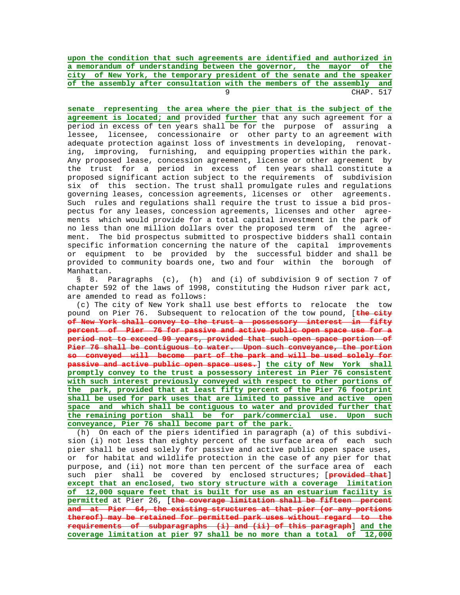**upon the condition that such agreements are identified and authorized in a memorandum of understanding between the governor, the mayor of the city of New York, the temporary president of the senate and the speaker of the assembly after consultation with the members of the assembly and** er and the set of the set of the set of the set of the set of the set of the set of the set of the set of the set of the set of the set of the set of the set of the set of the set of the set of the set of the set of the se

 **senate representing the area where the pier that is the subject of the agreement is located; and** provided **further** that any such agreement for a period in excess of ten years shall be for the purpose of assuring a lessee, licensee, concessionaire or other party to an agreement with adequate protection against loss of investments in developing, renovat ing, improving, furnishing, and equipping properties within the park. Any proposed lease, concession agreement, license or other agreement by the trust for a period in excess of ten years shall constitute a proposed significant action subject to the requirements of subdivision six of this section. The trust shall promulgate rules and regulations governing leases, concession agreements, licenses or other agreements. Such rules and regulations shall require the trust to issue a bid pros pectus for any leases, concession agreements, licenses and other agree ments which would provide for a total capital investment in the park of no less than one million dollars over the proposed term of the agree ment. The bid prospectus submitted to prospective bidders shall contain specific information concerning the nature of the capital improvements or equipment to be provided by the successful bidder and shall be provided to community boards one, two and four within the borough of Manhattan.

 § 8. Paragraphs (c), (h) and (i) of subdivision 9 of section 7 of chapter 592 of the laws of 1998, constituting the Hudson river park act, are amended to read as follows:

 (c) The city of New York shall use best efforts to relocate the tow pound on Pier 76. Subsequent to relocation of the tow pound, [**the city of New York shall convey to the trust a possessory interest in fifty percent of Pier 76 for passive and active public open space use for a period not to exceed 99 years, provided that such open space portion of Pier 76 shall be contiguous to water. Upon such conveyance, the portion so conveyed will become part of the park and will be used solely for passive and active public open space uses.**] **the city of New York shall promptly convey to the trust a possessory interest in Pier 76 consistent with such interest previously conveyed with respect to other portions of the park, provided that at least fifty percent of the Pier 76 footprint shall be used for park uses that are limited to passive and active open space and which shall be contiguous to water and provided further that the remaining portion shall be for park/commercial use. Upon such conveyance, Pier 76 shall become part of the park.**

 (h) On each of the piers identified in paragraph (a) of this subdivi sion (i) not less than eighty percent of the surface area of each such pier shall be used solely for passive and active public open space uses, or for habitat and wildlife protection in the case of any pier for that purpose, and (ii) not more than ten percent of the surface area of each such pier shall be covered by enclosed structures; [**provided that**] **except that an enclosed, two story structure with a coverage limitation of 12,000 square feet that is built for use as an estuarium facility is permitted** at Pier 26, [**the coverage limitation shall be fifteen percent and at Pier 64, the existing structures at that pier (or any portions thereof) may be retained for permitted park uses without regard to the requirements of subparagraphs (i) and (ii) of this paragraph**] **and the coverage limitation at pier 97 shall be no more than a total of 12,000**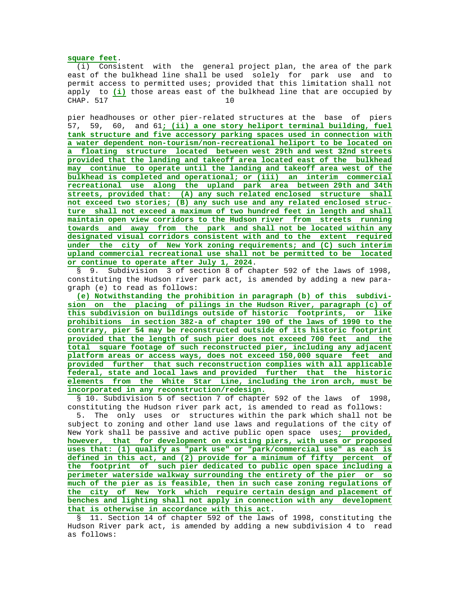## **square feet**.

 (i) Consistent with the general project plan, the area of the park east of the bulkhead line shall be used solely for park use and to permit access to permitted uses; provided that this limitation shall not apply to **(i)** those areas east of the bulkhead line that are occupied by CHAP 517 10

 pier headhouses or other pier-related structures at the base of piers 57, 59, 60, and 61**; (ii) a one story heliport terminal building, fuel tank structure and five accessory parking spaces used in connection with a water dependent non-tourism/non-recreational heliport to be located on a floating structure located between west 29th and west 32nd streets provided that the landing and takeoff area located east of the bulkhead may continue to operate until the landing and takeoff area west of the bulkhead is completed and operational; or (iii) an interim commercial recreational use along the upland park area between 29th and 34th streets, provided that: (A) any such related enclosed structure shall not exceed two stories; (B) any such use and any related enclosed struc ture shall not exceed a maximum of two hundred feet in length and shall maintain open view corridors to the Hudson river from streets running towards and away from the park and shall not be located within any designated visual corridors consistent with and to the extent required under the city of New York zoning requirements; and (C) such interim upland commercial recreational use shall not be permitted to be located or continue to operate after July 1, 2024**.

 § 9. Subdivision 3 of section 8 of chapter 592 of the laws of 1998, constituting the Hudson river park act, is amended by adding a new para graph (e) to read as follows:

 **(e) Notwithstanding the prohibition in paragraph (b) of this subdivi sion on the placing of pilings in the Hudson River, paragraph (c) of this subdivision on buildings outside of historic footprints, or like prohibitions in section 382-a of chapter 190 of the laws of 1990 to the contrary, pier 54 may be reconstructed outside of its historic footprint provided that the length of such pier does not exceed 700 feet and the total square footage of such reconstructed pier, including any adjacent platform areas or access ways, does not exceed 150,000 square feet and provided further that such reconstruction complies with all applicable federal, state and local laws and provided further that the historic elements from the White Star Line, including the iron arch, must be incorporated in any reconstruction/redesign.**

 § 10. Subdivision 5 of section 7 of chapter 592 of the laws of 1998, constituting the Hudson river park act, is amended to read as follows: 5. The only uses or structures within the park which shall not be subject to zoning and other land use laws and regulations of the city of New York shall be passive and active public open space uses**; provided, however, that for development on existing piers, with uses or proposed uses that: (1) qualify as "park use" or "park/commercial use" as each is defined in this act, and (2) provide for a minimum of fifty percent of the footprint of such pier dedicated to public open space including a perimeter waterside walkway surrounding the entirety of the pier or so much of the pier as is feasible, then in such case zoning regulations of the city of New York which require certain design and placement of benches and lighting shall not apply in connection with any development that is otherwise in accordance with this act**.

 § 11. Section 14 of chapter 592 of the laws of 1998, constituting the Hudson River park act, is amended by adding a new subdivision 4 to read as follows: